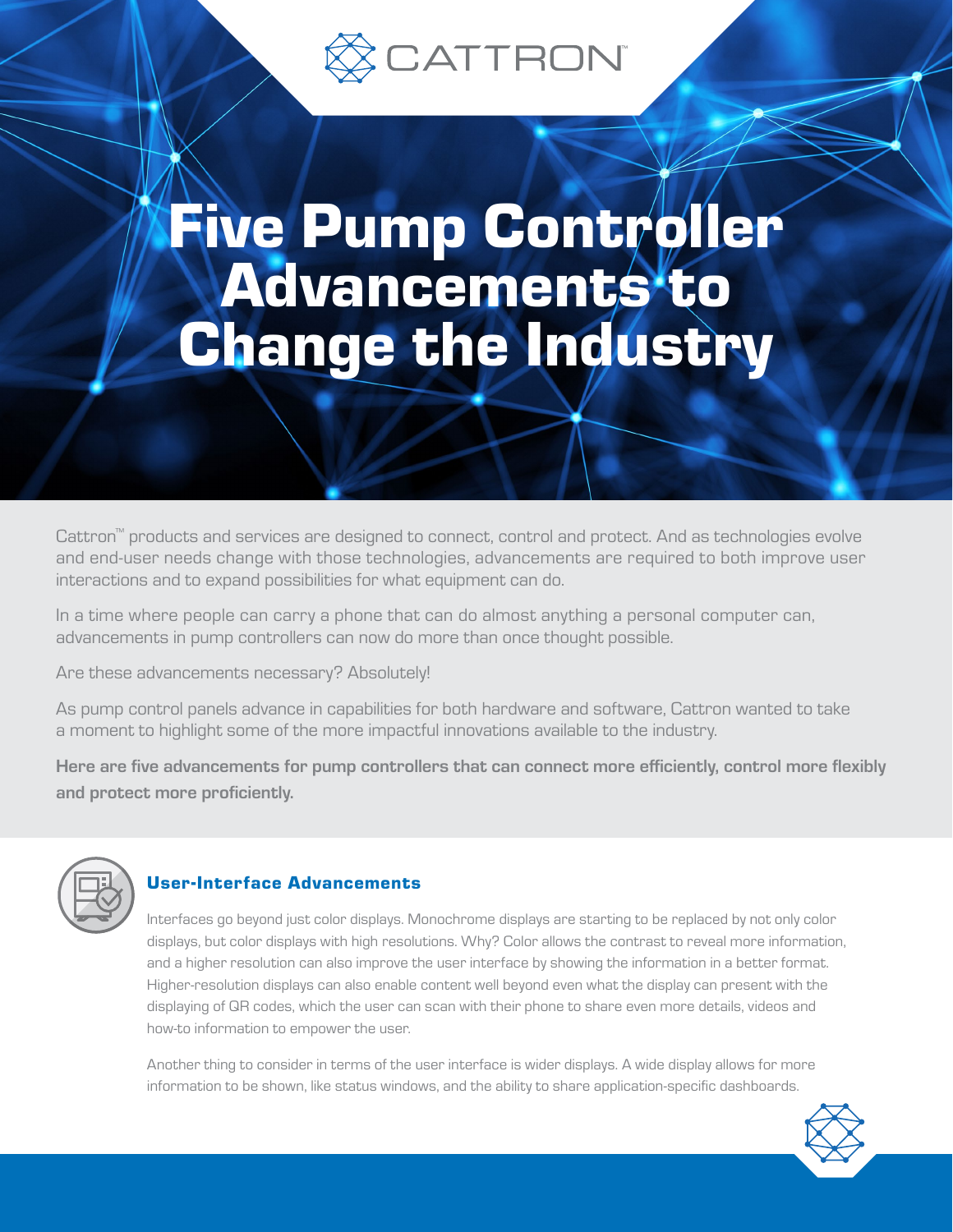

# Five Pump Controller Advancements to **Change the Industry**

Cattron™ products and services are designed to connect, control and protect. And as technologies evolve and end-user needs change with those technologies, advancements are required to both improve user interactions and to expand possibilities for what equipment can do.

In a time where people can carry a phone that can do almost anything a personal computer can, advancements in pump controllers can now do more than once thought possible.

Are these advancements necessary? Absolutely!

As pump control panels advance in capabilities for both hardware and software, Cattron wanted to take a moment to highlight some of the more impactful innovations available to the industry.

Here are five advancements for pump controllers that can connect more efficiently, control more flexibly and protect more proficiently.



#### User-Interface Advancements

Interfaces go beyond just color displays. Monochrome displays are starting to be replaced by not only color displays, but color displays with high resolutions. Why? Color allows the contrast to reveal more information, and a higher resolution can also improve the user interface by showing the information in a better format. Higher-resolution displays can also enable content well beyond even what the display can present with the displaying of QR codes, which the user can scan with their phone to share even more details, videos and how-to information to empower the user.

Another thing to consider in terms of the user interface is wider displays. A wide display allows for more information to be shown, like status windows, and the ability to share application-specific dashboards.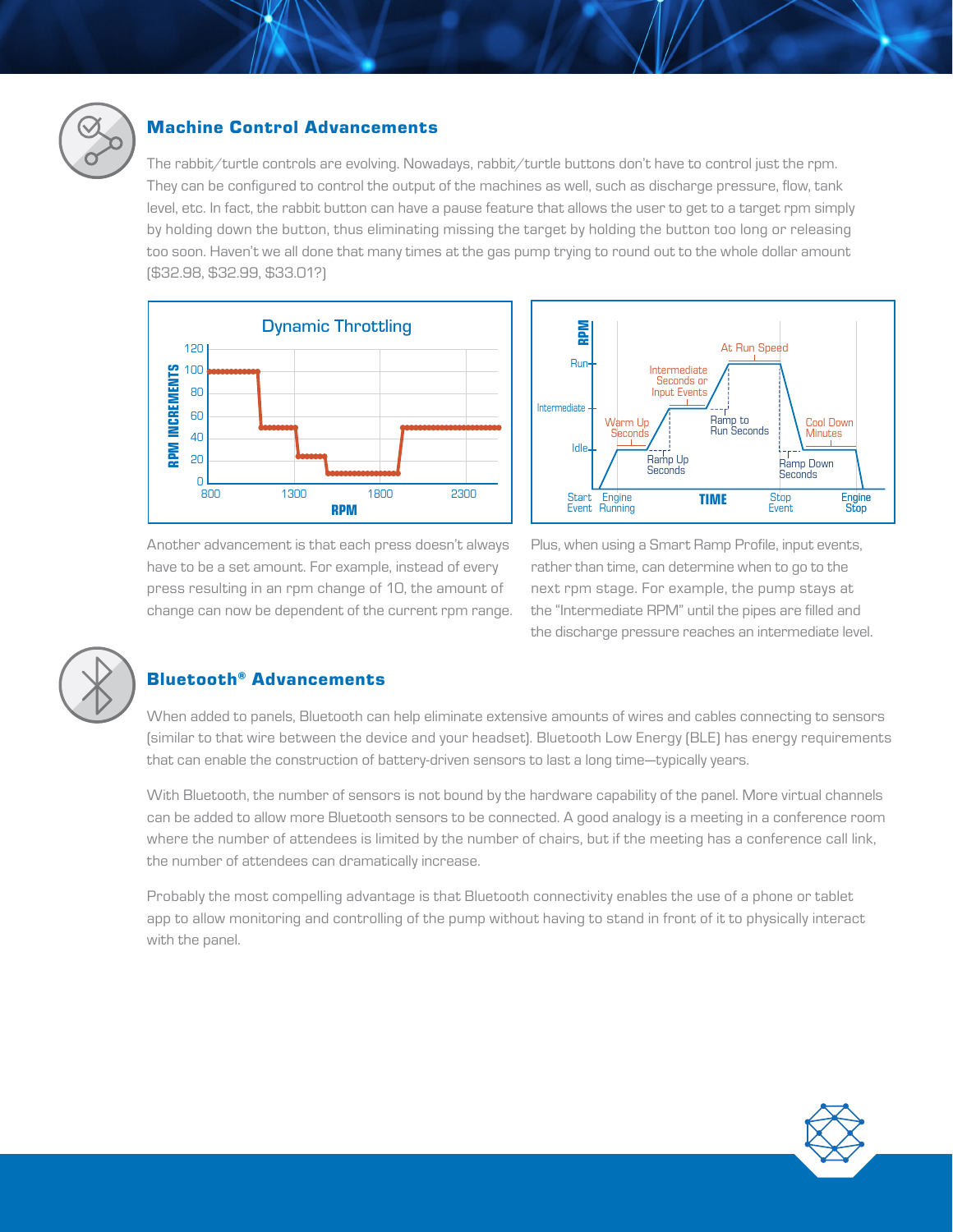

#### Machine Control Advancements

The rabbit/turtle controls are evolving. Nowadays, rabbit/turtle buttons don't have to control just the rpm. They can be configured to control the output of the machines as well, such as discharge pressure, flow, tank level, etc. In fact, the rabbit button can have a pause feature that allows the user to get to a target rpm simply by holding down the button, thus eliminating missing the target by holding the button too long or releasing too soon. Haven't we all done that many times at the gas pump trying to round out to the whole dollar amount (\$32.98, \$32.99, \$33.01?)





Another advancement is that each press doesn't always have to be a set amount. For example, instead of every press resulting in an rpm change of 10, the amount of change can now be dependent of the current rpm range. Plus, when using a Smart Ramp Profile, input events, rather than time, can determine when to go to the next rpm stage. For example, the pump stays at the "Intermediate RPM" until the pipes are filled and the discharge pressure reaches an intermediate level.



# Bluetooth® Advancements

When added to panels, Bluetooth can help eliminate extensive amounts of wires and cables connecting to sensors (similar to that wire between the device and your headset). Bluetooth Low Energy (BLE) has energy requirements that can enable the construction of battery-driven sensors to last a long time—typically years.

With Bluetooth, the number of sensors is not bound by the hardware capability of the panel. More virtual channels can be added to allow more Bluetooth sensors to be connected. A good analogy is a meeting in a conference room where the number of attendees is limited by the number of chairs, but if the meeting has a conference call link, the number of attendees can dramatically increase.

Probably the most compelling advantage is that Bluetooth connectivity enables the use of a phone or tablet app to allow monitoring and controlling of the pump without having to stand in front of it to physically interact with the panel.